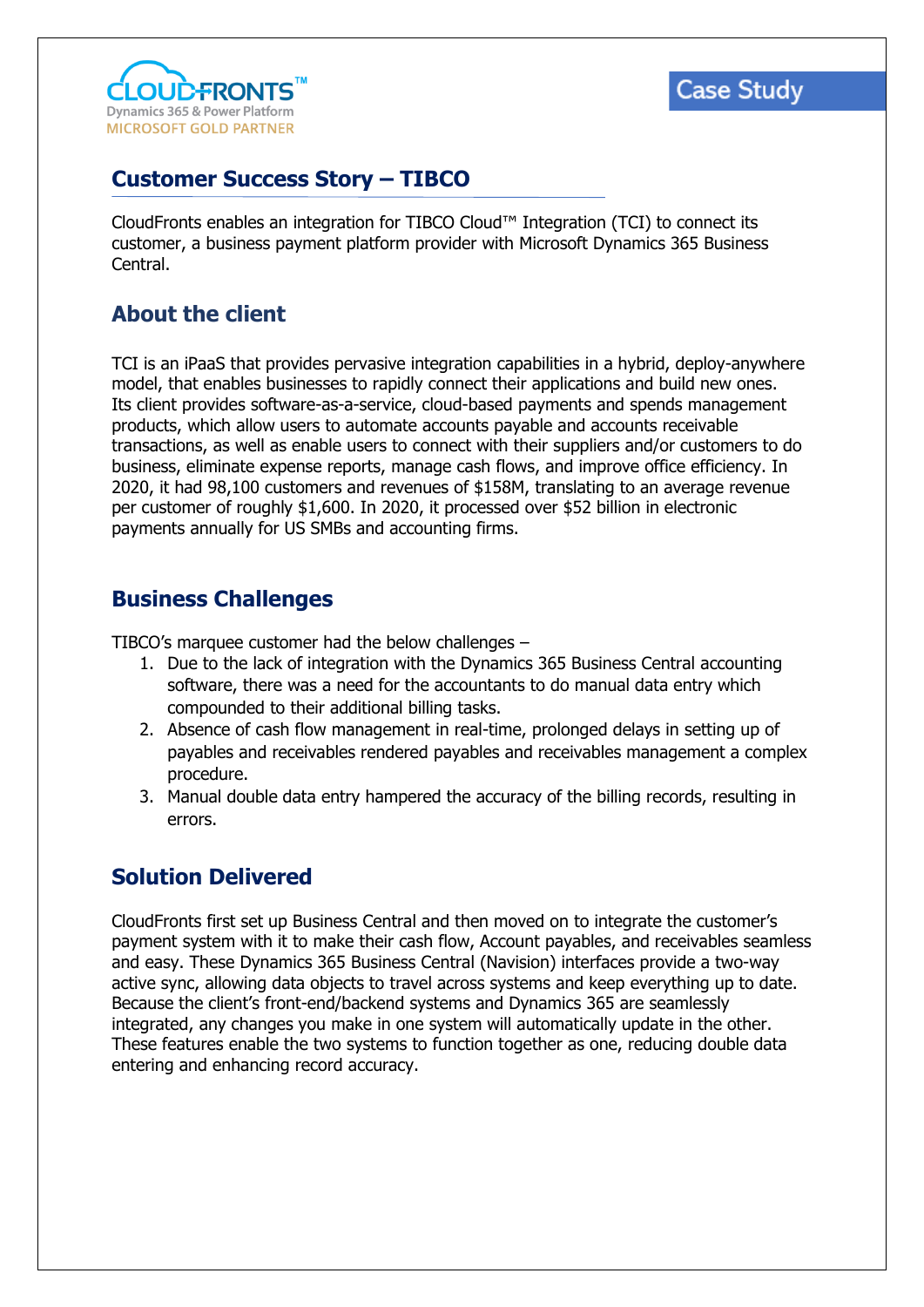

# **Case Study**

### **Customer Success Story – TIBCO**

CloudFronts enables an integration for TIBCO Cloud™ Integration (TCI) to connect its customer, a business payment platform provider with Microsoft Dynamics 365 Business Central.

### **About the client**

TCI is an iPaaS that provides pervasive integration capabilities in a hybrid, deploy-anywhere model, that enables businesses to rapidly connect their applications and build new ones. Its client provides software-as-a-service, cloud-based payments and spends management products, which allow users to automate accounts payable and accounts receivable transactions, as well as enable users to connect with their suppliers and/or customers to do business, eliminate expense reports, manage cash flows, and improve office efficiency. In 2020, it had 98,100 customers and revenues of \$158M, translating to an average revenue per customer of roughly \$1,600. In 2020, it processed over \$52 billion in electronic payments annually for US SMBs and accounting firms.

#### **Business Challenges**

TIBCO's marquee customer had the below challenges –

- 1. Due to the lack of integration with the Dynamics 365 Business Central accounting software, there was a need for the accountants to do manual data entry which compounded to their additional billing tasks.
- 2. Absence of cash flow management in real-time, prolonged delays in setting up of payables and receivables rendered payables and receivables management a complex procedure.
- 3. Manual double data entry hampered the accuracy of the billing records, resulting in errors.

#### **Solution Delivered**

CloudFronts first set up Business Central and then moved on to integrate the customer's payment system with it to make their cash flow, Account payables, and receivables seamless and easy. These Dynamics 365 Business Central (Navision) interfaces provide a two-way active sync, allowing data objects to travel across systems and keep everything up to date. Because the client's front-end/backend systems and Dynamics 365 are seamlessly integrated, any changes you make in one system will automatically update in the other. These features enable the two systems to function together as one, reducing double data entering and enhancing record accuracy.